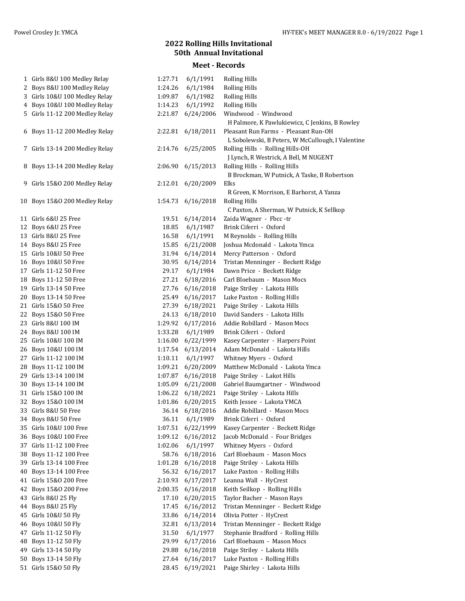## **2022 Rolling Hills Invitational 50th Annual Invitational**

## **Meet - Records**

| $\mathbf{1}$ | Girls 8&U 100 Medley Relay     | 1:27.71 | 6/1/1991          | <b>Rolling Hills</b>                                                                  |
|--------------|--------------------------------|---------|-------------------|---------------------------------------------------------------------------------------|
|              | 2 Boys 8&U 100 Medley Relay    | 1:24.26 | 6/1/1984          | <b>Rolling Hills</b>                                                                  |
|              | 3 Girls 10&U 100 Medley Relay  | 1:09.87 | 6/1/1982          | <b>Rolling Hills</b>                                                                  |
|              | 4 Boys 10&U 100 Medley Relay   | 1:14.23 | 6/1/1992          | <b>Rolling Hills</b>                                                                  |
|              | 5 Girls 11-12 200 Medley Relay | 2:21.87 | 6/24/2006         | Windwood - Windwood<br>H Palmore, K Pawlukiewicz, C Jenkins, B Rowley                 |
|              | 6 Boys 11-12 200 Medley Relay  | 2:22.81 | 6/18/2011         | Pleasant Run Farms - Pleasant Run-OH                                                  |
|              | 7 Girls 13-14 200 Medley Relay | 2:14.76 | 6/25/2005         | L Sobolewski, B Peters, W McCullough, I Valentine<br>Rolling Hills - Rolling Hills-OH |
|              |                                |         |                   | J Lynch, R Westrick, A Bell, M NUGENT                                                 |
|              | 8 Boys 13-14 200 Medley Relay  | 2:06.90 | 6/15/2013         | Rolling Hills - Rolling Hills<br>B Brockman, W Putnick, A Taske, B Robertson          |
|              | 9 Girls 15&0 200 Medley Relay  |         | 2:12.01 6/20/2009 | Elks<br>R Green, K Morrison, E Barhorst, A Yanza                                      |
|              | 10 Boys 15&O 200 Medley Relay  |         | 1:54.73 6/16/2018 | <b>Rolling Hills</b><br>C Paxton, A Sherman, W Putnick, K Sellkop                     |
|              | 11 Girls 6&U 25 Free           |         | 19.51 6/14/2014   | Zaida Wagner - Fbcc-tr                                                                |
|              | 12 Boys 6&U 25 Free            | 18.85   | 6/1/1987          | Brink Ciferri - Oxford                                                                |
|              | 13 Girls 8&U 25 Free           | 16.58   | 6/1/1991          | M Reynolds - Rolling Hills                                                            |
|              | 14 Boys 8&U 25 Free            | 15.85   | 6/21/2008         | Joshua Mcdonald - Lakota Ymca                                                         |
|              | 15 Girls 10&U 50 Free          | 31.94   | 6/14/2014         | Mercy Patterson - Oxford                                                              |
|              | 16 Boys 10&U 50 Free           | 30.95   | 6/14/2014         | Tristan Menninger - Beckett Ridge                                                     |
| 17           | Girls 11-12 50 Free            | 29.17   | 6/1/1984          | Dawn Price - Beckett Ridge                                                            |
| 18           | Boys 11-12 50 Free             | 27.21   | 6/18/2016         | Carl Bloebaum - Mason Mocs                                                            |
| 19           | Girls 13-14 50 Free            | 27.76   | 6/16/2018         | Paige Striley - Lakota Hills                                                          |
|              | 20 Boys 13-14 50 Free          | 25.49   | 6/16/2017         | Luke Paxton - Rolling Hills                                                           |
|              | 21 Girls 15&0 50 Free          | 27.39   | 6/18/2021         | Paige Striley - Lakota Hills                                                          |
|              | 22 Boys 15&0 50 Free           |         | 24.13 6/18/2010   | David Sanders - Lakota Hills                                                          |
|              | 23 Girls 8&U 100 IM            |         | 1:29.92 6/17/2016 | Addie Robillard - Mason Mocs                                                          |
|              | 24 Boys 8&U 100 IM             | 1:33.28 | 6/1/1989          | Brink Ciferri - Oxford                                                                |
| 25           | Girls 10&U 100 IM              | 1:16.00 | 6/22/1999         | Kasey Carpenter - Harpers Point                                                       |
| 26           | Boys 10&U 100 IM               | 1:17.54 | 6/13/2014         | Adam McDonald - Lakota Hills                                                          |
| 27           | Girls 11-12 100 IM             | 1:10.11 | 6/1/1997          | Whitney Myers - Oxford                                                                |
| 28           | Boys 11-12 100 IM              | 1:09.21 | 6/20/2009         | Matthew McDonald - Lakota Ymca                                                        |
| 29           | Girls 13-14 100 IM             | 1:07.87 | 6/16/2018         | Paige Striley - Lakot Hills                                                           |
| 30           | Boys 13-14 100 IM              | 1:05.09 | 6/21/2008         | Gabriel Baumgartner - Windwood                                                        |
|              | 31 Girls 15&0 100 IM           | 1:06.22 | 6/18/2021         | Paige Striley - Lakota Hills                                                          |
|              | 32 Boys 15&0 100 IM            |         | 1:01.86 6/20/2015 | Keith Jessee - Lakota YMCA                                                            |
|              | 33 Girls 8&U 50 Free           |         | 36.14 6/18/2016   | Addie Robillard - Mason Mocs                                                          |
|              | 34 Boys 8&U 50 Free            | 36.11   | 6/1/1989          | Brink Ciferri - Oxford                                                                |
| 35           | Girls 10&U 100 Free            | 1:07.51 | 6/22/1999         | Kasey Carpenter - Beckett Ridge                                                       |
| 36           | Boys 10&U 100 Free             | 1:09.12 | 6/16/2012         | Jacob McDonald - Four Bridges                                                         |
| 37           | Girls 11-12 100 Free           | 1:02.06 | 6/1/1997          | Whitney Myers - Oxford                                                                |
| 38           | Boys 11-12 100 Free            | 58.76   | 6/18/2016         | Carl Bloebaum - Mason Mocs                                                            |
| 39           | Girls 13-14 100 Free           | 1:01.28 | 6/16/2018         | Paige Striley - Lakota Hills                                                          |
| 40           | Boys 13-14 100 Free            | 56.32   | 6/16/2017         | Luke Paxton - Rolling Hills                                                           |
| 41           | Girls 15&0 200 Free            | 2:10.93 | 6/17/2017         | Leanna Wall - HyCrest                                                                 |
| 42           | Boys 15&0 200 Free             | 2:00.35 | 6/16/2018         | Keith Seilkop - Rolling Hills                                                         |
| 43           | Girls 8&U 25 Fly               | 17.10   | 6/20/2015         | Taylor Bacher - Mason Rays                                                            |
| 44           | Boys 8&U 25 Fly                | 17.45   | 6/16/2012         | Tristan Menninger - Beckett Ridge                                                     |
| 45           | Girls 10&U 50 Fly              | 33.86   | 6/14/2014         | Olivia Potter - HyCrest                                                               |
| 46           | Boys 10&U 50 Fly               | 32.81   | 6/13/2014         | Tristan Menninger - Beckett Ridge                                                     |
| 47           | Girls 11-12 50 Fly             | 31.50   | 6/1/1977          | Stephanie Bradford - Rolling Hills                                                    |
| 48           | Boys 11-12 50 Fly              | 29.99   | 6/17/2016         | Carl Bloebaum - Mason Mocs                                                            |
| 49           | Girls 13-14 50 Fly             | 29.88   | 6/16/2018         | Paige Striley - Lakota Hills                                                          |
| 50           | Boys 13-14 50 Fly              | 27.64   | 6/16/2017         | Luke Paxton - Rolling Hills                                                           |
|              | 51 Girls 15&0 50 Fly           | 28.45   | 6/19/2021         | Paige Shirley - Lakota Hills                                                          |